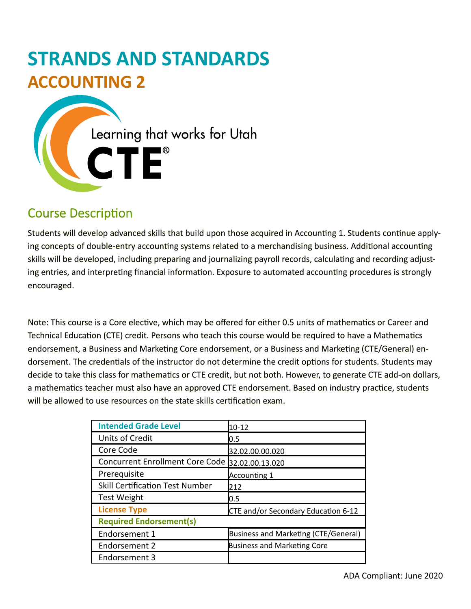# **STRANDS AND STANDARDS ACCOUNTING 2**

Learning that works for Utah CTE®

# Course Description

Students will develop advanced skills that build upon those acquired in Accounting 1. Students continue applying concepts of double-entry accounting systems related to a merchandising business. Additional accounting skills will be developed, including preparing and journalizing payroll records, calculating and recording adjusting entries, and interpreting financial information. Exposure to automated accounting procedures is strongly encouraged.

Note: This course is a Core elective, which may be offered for either 0.5 units of mathematics or Career and Technical Education (CTE) credit. Persons who teach this course would be required to have a Mathematics endorsement, a Business and Marketing Core endorsement, or a Business and Marketing (CTE/General) endorsement. The credentials of the instructor do not determine the credit options for students. Students may decide to take this class for mathematics or CTE credit, but not both. However, to generate CTE add-on dollars, a mathematics teacher must also have an approved CTE endorsement. Based on industry practice, students will be allowed to use resources on the state skills certification exam.

| <b>Intended Grade Level</b>                     | $10 - 12$                            |  |  |  |
|-------------------------------------------------|--------------------------------------|--|--|--|
| Units of Credit                                 | 0.5                                  |  |  |  |
| Core Code                                       | 32.02.00.00.020                      |  |  |  |
| Concurrent Enrollment Core Code 32.02.00.13.020 |                                      |  |  |  |
| Prerequisite                                    | Accounting 1                         |  |  |  |
| <b>Skill Certification Test Number</b>          | 212                                  |  |  |  |
| <b>Test Weight</b>                              | 0.5                                  |  |  |  |
| <b>License Type</b>                             | CTE and/or Secondary Education 6-12  |  |  |  |
| <b>Required Endorsement(s)</b>                  |                                      |  |  |  |
| Endorsement 1                                   | Business and Marketing (CTE/General) |  |  |  |
| Endorsement 2                                   | <b>Business and Marketing Core</b>   |  |  |  |
| Endorsement 3                                   |                                      |  |  |  |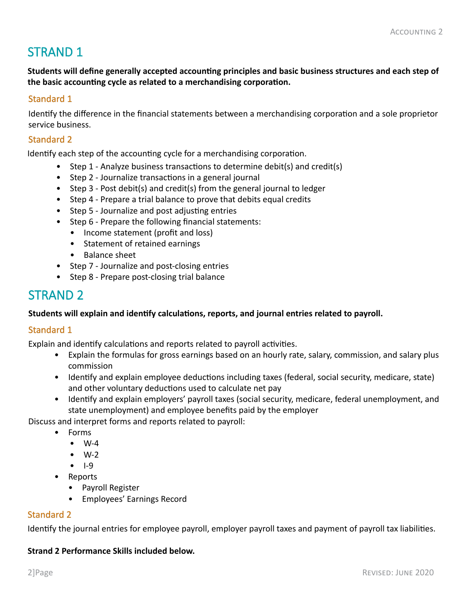# STRAND 1

**Students will define generally accepted accounting principles and basic business structures and each step of the basic accounting cycle as related to a merchandising corporation.**

#### Standard 1

Identify the difference in the financial statements between a merchandising corporation and a sole proprietor service business.

#### Standard 2

Identify each step of the accounting cycle for a merchandising corporation.

- Step 1 Analyze business transactions to determine debit(s) and credit(s)
- Step 2 Journalize transactions in a general journal
- Step 3 Post debit(s) and credit(s) from the general journal to ledger
- Step 4 Prepare a trial balance to prove that debits equal credits
- Step 5 Journalize and post adjusting entries
- Step 6 Prepare the following financial statements:
	- Income statement (profit and loss)
	- Statement of retained earnings
	- Balance sheet
- Step 7 Journalize and post-closing entries
- Step 8 Prepare post-closing trial balance

# STRAND 2

#### **Students will explain and identify calculations, reports, and journal entries related to payroll.**

#### Standard 1

Explain and identify calculations and reports related to payroll activities.

- Explain the formulas for gross earnings based on an hourly rate, salary, commission, and salary plus commission
- Identify and explain employee deductions including taxes (federal, social security, medicare, state) and other voluntary deductions used to calculate net pay
- Identify and explain employers' payroll taxes (social security, medicare, federal unemployment, and state unemployment) and employee benefits paid by the employer

Discuss and interpret forms and reports related to payroll:

- Forms
	- W-4
	- W-2
	- I-9
- Reports
	- Payroll Register
	- Employees' Earnings Record

#### Standard 2

Identify the journal entries for employee payroll, employer payroll taxes and payment of payroll tax liabilities.

#### **Strand 2 Performance Skills included below.**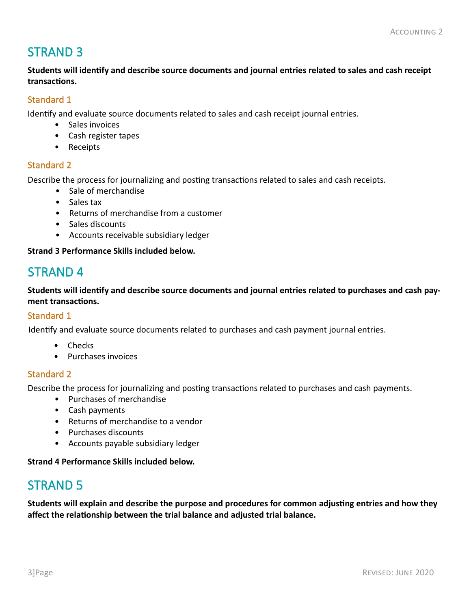# STRAND 3

**Students will identify and describe source documents and journal entries related to sales and cash receipt transactions.**

### Standard 1

Identify and evaluate source documents related to sales and cash receipt journal entries.

- Sales invoices
- Cash register tapes
- Receipts

#### Standard 2

Describe the process for journalizing and posting transactions related to sales and cash receipts.

- Sale of merchandise
- Sales tax
- Returns of merchandise from a customer
- Sales discounts
- Accounts receivable subsidiary ledger

**Strand 3 Performance Skills included below.**

## STRAND 4

**Students will identify and describe source documents and journal entries related to purchases and cash payment transactions.**

#### Standard 1

Identify and evaluate source documents related to purchases and cash payment journal entries.

- Checks
- Purchases invoices

#### Standard 2

Describe the process for journalizing and posting transactions related to purchases and cash payments.

- Purchases of merchandise
- Cash payments
- Returns of merchandise to a vendor
- Purchases discounts
- Accounts payable subsidiary ledger

#### **Strand 4 Performance Skills included below.**

# STRAND 5

**Students will explain and describe the purpose and procedures for common adjusting entries and how they affect the relationship between the trial balance and adjusted trial balance.**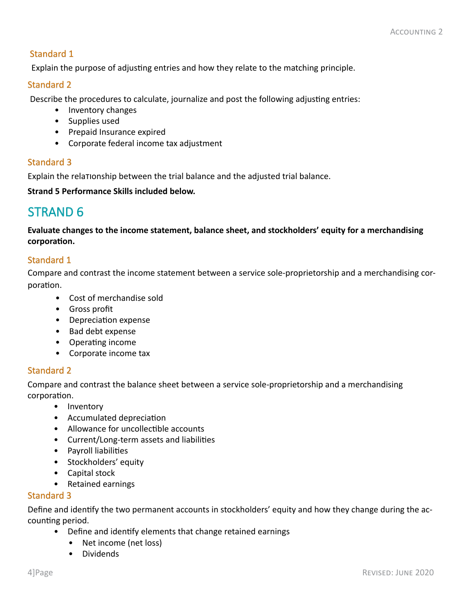### Standard 1

Explain the purpose of adjusting entries and how they relate to the matching principle.

#### Standard 2

Describe the procedures to calculate, journalize and post the following adjusting entries:

- Inventory changes
- Supplies used
- Prepaid Insurance expired
- Corporate federal income tax adjustment

### Standard 3

Explain the relationship between the trial balance and the adjusted trial balance.

**Strand 5 Performance Skills included below.**

# STRAND 6

**Evaluate changes to the income statement, balance sheet, and stockholders' equity for a merchandising corporation.** 

### Standard 1

Compare and contrast the income statement between a service sole-proprietorship and a merchandising corporation.

- Cost of merchandise sold
- Gross profit
- Depreciation expense
- Bad debt expense
- Operating income
- Corporate income tax

### Standard 2

Compare and contrast the balance sheet between a service sole-proprietorship and a merchandising corporation.

- Inventory
- Accumulated depreciation
- Allowance for uncollectible accounts
- Current/Long-term assets and liabilities
- Payroll liabilities
- Stockholders' equity
- Capital stock
- Retained earnings

#### Standard 3

Define and identify the two permanent accounts in stockholders' equity and how they change during the accounting period.

- Define and identify elements that change retained earnings
	- Net income (net loss)
	- Dividends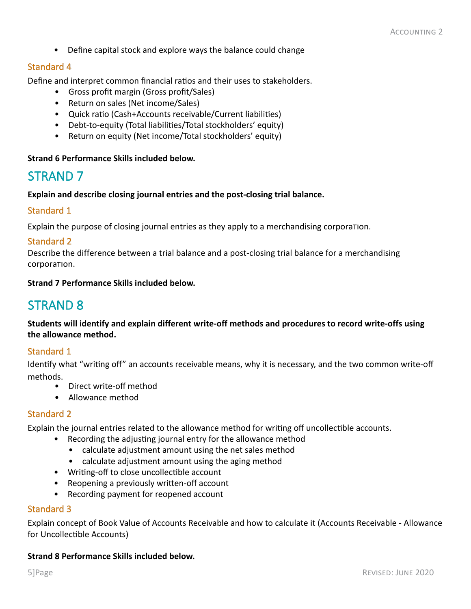• Define capital stock and explore ways the balance could change

#### Standard 4

Define and interpret common financial ratios and their uses to stakeholders.

- Gross profit margin (Gross profit/Sales)
- Return on sales (Net income/Sales)
- Quick ratio (Cash+Accounts receivable/Current liabilities)
- Debt-to-equity (Total liabilities/Total stockholders' equity)
- Return on equity (Net income/Total stockholders' equity)

#### **Strand 6 Performance Skills included below.**

### STRAND 7

**Explain and describe closing journal entries and the post-closing trial balance.** 

#### Standard 1

Explain the purpose of closing journal entries as they apply to a merchandising corporation.

#### Standard 2

Describe the difference between a trial balance and a post-closing trial balance for a merchandising corporation.

#### **Strand 7 Performance Skills included below.**

### STRAND 8

**Students will identify and explain different write-off methods and procedures to record write-offs using the allowance method.**

#### Standard 1

Identify what "writing off" an accounts receivable means, why it is necessary, and the two common write-off methods.

- Direct write-off method
- Allowance method

#### Standard 2

Explain the journal entries related to the allowance method for writing off uncollectible accounts.

- Recording the adjusting journal entry for the allowance method
	- calculate adjustment amount using the net sales method
	- calculate adjustment amount using the aging method
- Writing-off to close uncollectible account
- Reopening a previously written-off account
- Recording payment for reopened account

#### Standard 3

Explain concept of Book Value of Accounts Receivable and how to calculate it (Accounts Receivable - Allowance for Uncollectible Accounts)

#### **Strand 8 Performance Skills included below.**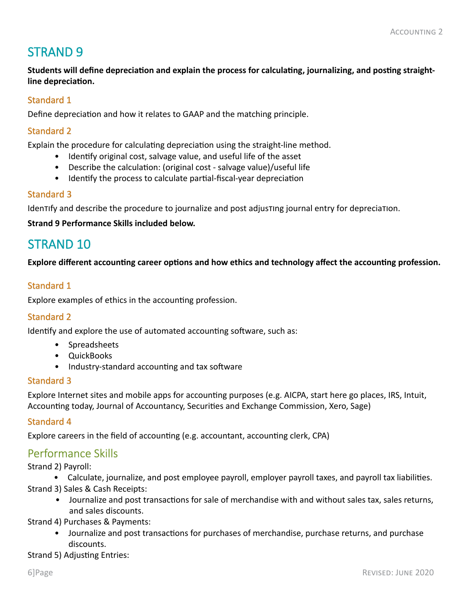# STRAND 9

**Students will define depreciation and explain the process for calculating, journalizing, and posting straightline depreciation.** 

### Standard 1

Define depreciation and how it relates to GAAP and the matching principle.

#### Standard 2

Explain the procedure for calculating depreciation using the straight-line method.

- Identify original cost, salvage value, and useful life of the asset
- Describe the calculation: (original cost salvage value)/useful life
- Identify the process to calculate partial-fiscal-year depreciation

#### Standard 3

Identify and describe the procedure to journalize and post adjusting journal entry for depreciation.

**Strand 9 Performance Skills included below.**

# STRAND 10

**Explore different accounting career options and how ethics and technology affect the accounting profession.**

#### Standard 1

Explore examples of ethics in the accounting profession.

#### Standard 2

Identify and explore the use of automated accounting software, such as:

- Spreadsheets
- QuickBooks
- Industry-standard accounting and tax software

#### Standard 3

Explore Internet sites and mobile apps for accounting purposes (e.g. AICPA, start here go places, IRS, Intuit, Accounting today, Journal of Accountancy, Securities and Exchange Commission, Xero, Sage)

#### Standard 4

Explore careers in the field of accounting (e.g. accountant, accounting clerk, CPA)

### Performance Skills

Strand 2) Payroll:

• Calculate, journalize, and post employee payroll, employer payroll taxes, and payroll tax liabilities. Strand 3) Sales & Cash Receipts:

• Journalize and post transactions for sale of merchandise with and without sales tax, sales returns, and sales discounts.

Strand 4) Purchases & Payments:

• Journalize and post transactions for purchases of merchandise, purchase returns, and purchase discounts.

Strand 5) Adjusting Entries: